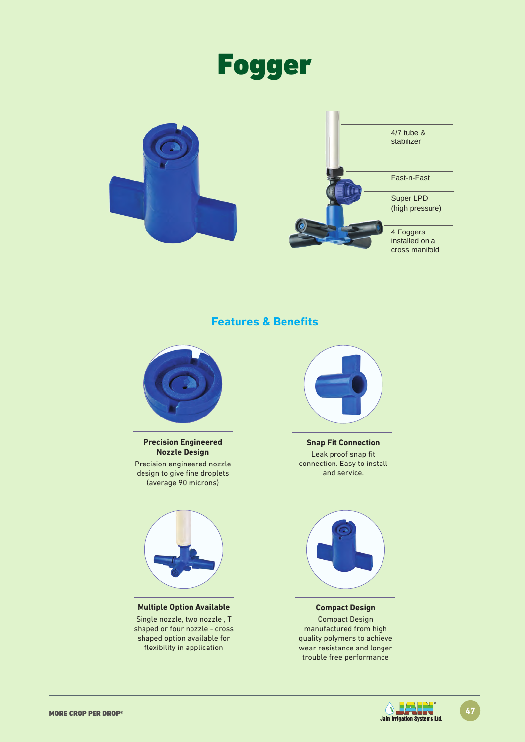



**Features & Benefits**



**Precision Engineered Nozzle Design**

Precision engineered nozzle design to give fine droplets (average 90 microns)



**Multiple Option Available** Single nozzle, two nozzle , T shaped or four nozzle - cross shaped option available for flexibility in application



**Snap Fit Connection** Leak proof snap fit connection. Easy to install and service.



**Compact Design** Compact Design manufactured from high quality polymers to achieve wear resistance and longer trouble free performance